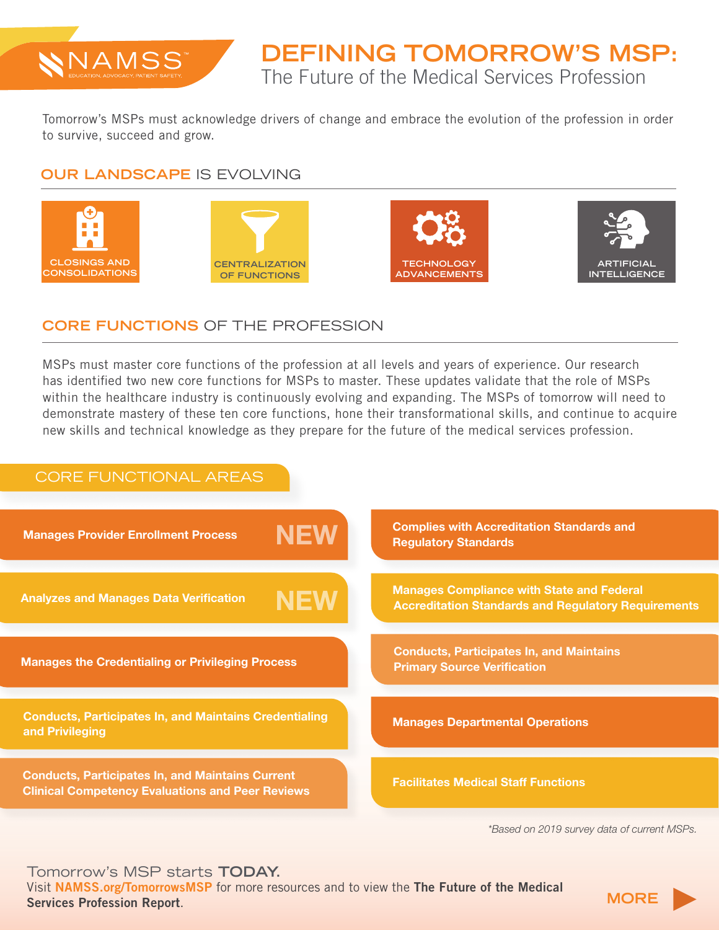

# **DEFINING TOMORROW'S MSP:**  The Future of the Medical Services Profession

Tomorrow's MSPs must acknowledge drivers of change and embrace the evolution of the profession in order to survive, succeed and grow.

#### **OUR LANDSCAPE** IS EVOLVING



## **CORE FUNCTIONS** OF THE PROFESSION

MSPs must master core functions of the profession at all levels and years of experience. Our research has identified two new core functions for MSPs to master. These updates validate that the role of MSPs within the healthcare industry is continuously evolving and expanding. The MSPs of tomorrow will need to demonstrate mastery of these ten core functions, hone their transformational skills, and continue to acquire new skills and technical knowledge as they prepare for the future of the medical services profession.



*\*Based on 2019 survey data of current MSPs.*

#### Tomorrow's MSP starts **TODAY.** Visit [NAMSS.org/TomorrowsMSP](https://www.namss.org/Advocacy/Tomorrows-MSP) for more resources and to view the [The Future of the Medical](https://indd.adobe.com/view/52cc6e5d-bd6d-4f61-95f0-ed3c9d4c3eda)  [Services Profession Report](https://indd.adobe.com/view/52cc6e5d-bd6d-4f61-95f0-ed3c9d4c3eda).